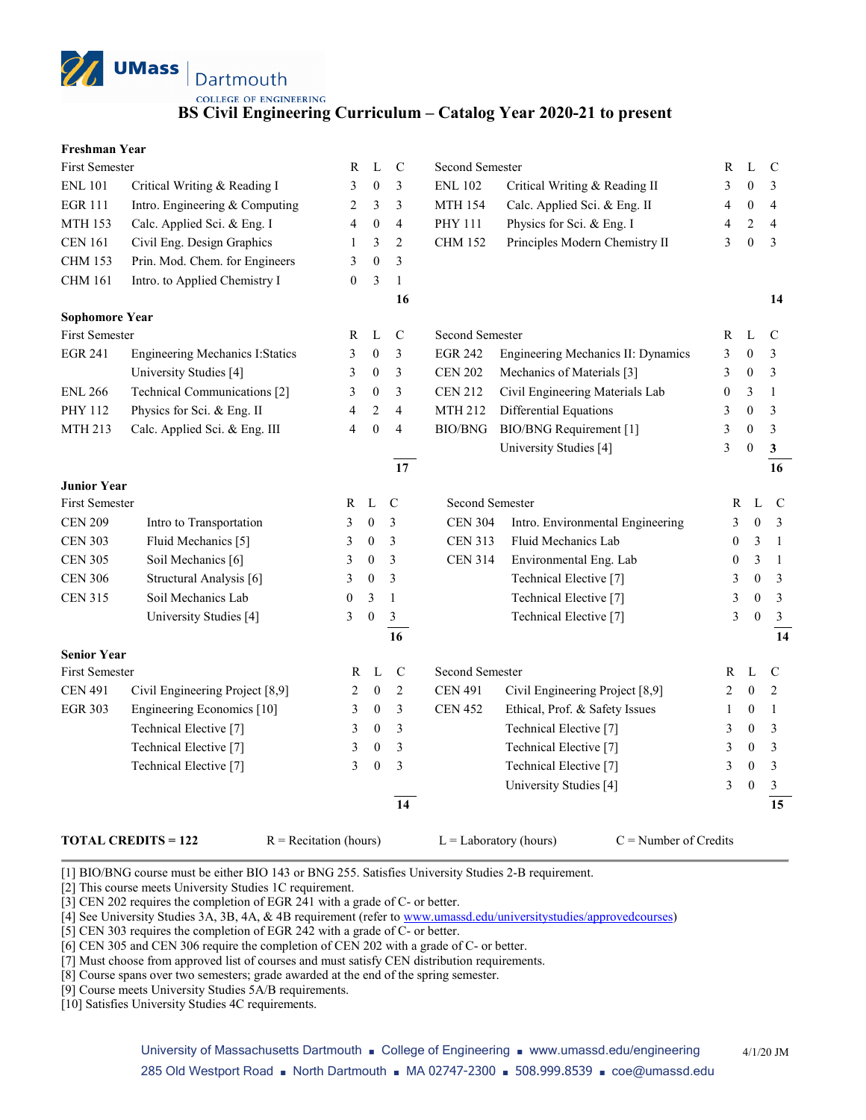**UMass** Dartmouth **COLLEGE OF ENGINEERING** 

## **BS Civil Engineering Curriculum – Catalog Year 2020-21 to present**

| Freshman Year |  |
|---------------|--|
|---------------|--|

| First Semester        |                                         | R                | L                | $\mathbf C$             | Second Semester |                                    | R                | L                | $\mathcal{C}$           |
|-----------------------|-----------------------------------------|------------------|------------------|-------------------------|-----------------|------------------------------------|------------------|------------------|-------------------------|
| <b>ENL 101</b>        | Critical Writing & Reading I            | 3                | $\boldsymbol{0}$ | 3                       | <b>ENL 102</b>  | Critical Writing & Reading II      | 3                | $\theta$         | 3                       |
| <b>EGR 111</b>        | Intro. Engineering & Computing          | 2                | 3                | 3                       | <b>MTH 154</b>  | Calc. Applied Sci. & Eng. II       | 4                | $\mathbf{0}$     | $\overline{4}$          |
| <b>MTH 153</b>        | Calc. Applied Sci. & Eng. I             | 4                | $\boldsymbol{0}$ | $\overline{4}$          | PHY 111         | Physics for Sci. & Eng. I          | 4                | $\mathbf{2}$     | $\overline{\mathbf{4}}$ |
| <b>CEN 161</b>        | Civil Eng. Design Graphics              | 1                | 3                | $\overline{c}$          | <b>CHM 152</b>  | Principles Modern Chemistry II     | 3                | $\mathbf{0}$     | 3                       |
| <b>CHM 153</b>        | Prin. Mod. Chem. for Engineers          | 3                | $\mathbf{0}$     | 3                       |                 |                                    |                  |                  |                         |
| <b>CHM 161</b>        | Intro. to Applied Chemistry I           | $\boldsymbol{0}$ | 3                | $\mathbf{1}$            |                 |                                    |                  |                  |                         |
|                       |                                         |                  |                  | 16                      |                 |                                    |                  |                  | 14                      |
| <b>Sophomore Year</b> |                                         |                  |                  |                         |                 |                                    |                  |                  |                         |
| <b>First Semester</b> |                                         | R                | L                | $\mathbf C$             | Second Semester |                                    | R                | L                | C                       |
| <b>EGR 241</b>        | <b>Engineering Mechanics I: Statics</b> | 3                | $\boldsymbol{0}$ | 3                       | <b>EGR 242</b>  | Engineering Mechanics II: Dynamics | 3                | $\boldsymbol{0}$ | 3                       |
|                       | University Studies [4]                  | 3                | $\mathbf{0}$     | 3                       | <b>CEN 202</b>  | Mechanics of Materials [3]         | 3                | $\mathbf{0}$     | 3                       |
| <b>ENL 266</b>        | Technical Communications [2]            | 3                | $\mathbf{0}$     | 3                       | <b>CEN 212</b>  | Civil Engineering Materials Lab    | $\boldsymbol{0}$ | 3                | $\mathbf{1}$            |
| PHY 112               | Physics for Sci. & Eng. II              | 4                | 2                | $\overline{\mathbf{4}}$ | <b>MTH 212</b>  | Differential Equations             | 3                | $\boldsymbol{0}$ | 3                       |
| MTH 213               | Calc. Applied Sci. & Eng. III           | 4                | $\boldsymbol{0}$ | $\overline{\mathbf{4}}$ | BIO/BNG         | BIO/BNG Requirement [1]            | 3                | $\boldsymbol{0}$ | $\mathfrak{Z}$          |
|                       |                                         |                  |                  |                         |                 | University Studies [4]             | 3                | $\boldsymbol{0}$ | $\mathbf{3}$            |
|                       |                                         |                  |                  | $\overline{17}$         |                 |                                    |                  |                  | $\overline{16}$         |
| <b>Junior Year</b>    |                                         |                  |                  |                         |                 |                                    |                  |                  |                         |
| First Semester        |                                         | R                | $\mathbf L$      | $\mathbf C$             | Second Semester |                                    | R                | L                | $\mathbf C$             |
| <b>CEN 209</b>        | Intro to Transportation                 | 3                | $\boldsymbol{0}$ | 3                       | <b>CEN 304</b>  | Intro. Environmental Engineering   | 3                | $\mathbf{0}$     | $\mathfrak{Z}$          |
| <b>CEN 303</b>        | Fluid Mechanics [5]                     | 3                | $\boldsymbol{0}$ | 3                       | <b>CEN 313</b>  | Fluid Mechanics Lab                | $\mathbf{0}$     | 3                | $\mathbf{1}$            |
| <b>CEN 305</b>        | Soil Mechanics [6]                      | 3                | $\boldsymbol{0}$ | 3                       | <b>CEN 314</b>  | Environmental Eng. Lab             | $\boldsymbol{0}$ | 3                | $\overline{1}$          |
| <b>CEN 306</b>        | Structural Analysis [6]                 | 3                | $\boldsymbol{0}$ | 3                       |                 | Technical Elective [7]             | 3                | $\theta$         | $\overline{3}$          |
| <b>CEN 315</b>        | Soil Mechanics Lab                      | $\boldsymbol{0}$ | 3                | $\mathbf{1}$            |                 | Technical Elective [7]             | 3                | $\theta$         | $\mathfrak{Z}$          |
|                       | University Studies [4]                  | 3                | $\boldsymbol{0}$ | $\mathfrak{Z}$          |                 | Technical Elective [7]             | 3                | $\boldsymbol{0}$ | $\mathbf{3}$            |
|                       |                                         |                  |                  | 16                      |                 |                                    |                  |                  | 14                      |
| <b>Senior Year</b>    |                                         |                  |                  |                         |                 |                                    |                  |                  |                         |
| First Semester        |                                         | R                | L                | $\mathbf C$             | Second Semester |                                    | R                | L                | $\mathsf{C}$            |
| <b>CEN 491</b>        | Civil Engineering Project [8,9]         | 2                | $\boldsymbol{0}$ | $\overline{c}$          | <b>CEN 491</b>  | Civil Engineering Project [8,9]    | 2                | $\boldsymbol{0}$ | $\overline{c}$          |
| <b>EGR 303</b>        | Engineering Economics [10]              | 3                | $\mathbf{0}$     | 3                       | <b>CEN 452</b>  | Ethical, Prof. & Safety Issues     | 1                | 0                | $\mathbf{1}$            |
|                       | Technical Elective [7]                  | 3                | $\overline{0}$   | 3                       |                 | Technical Elective <sup>[7]</sup>  | 3                | $\boldsymbol{0}$ | 3                       |
|                       | Technical Elective <sup>[7]</sup>       | 3                | $\mathbf{0}$     | 3                       |                 | Technical Elective [7]             | 3                | $\boldsymbol{0}$ | 3                       |
|                       | Technical Elective [7]                  | 3                | $\boldsymbol{0}$ | 3                       |                 | Technical Elective <sup>[7]</sup>  | 3                | $\boldsymbol{0}$ | $\mathfrak{Z}$          |
|                       |                                         |                  |                  |                         |                 | University Studies [4]             | 3                | $\boldsymbol{0}$ | $\mathfrak{Z}$          |
|                       |                                         |                  |                  | 14                      |                 |                                    |                  |                  | 15                      |
|                       |                                         |                  |                  |                         |                 |                                    |                  |                  |                         |

**TOTAL CREDITS = 122** R = Recitation (hours) L = Laboratory (hours) C = Number of Credits

[1] BIO/BNG course must be either BIO 143 or BNG 255. Satisfies University Studies 2-B requirement.

[2] This course meets University Studies 1C requirement.

[3] CEN 202 requires the completion of EGR 241 with a grade of C- or better.

[4] See University Studies 3A, 3B, 4A, & 4B requirement (refer t[o www.umassd.edu/universitystudies/approvedcourses\)](http://www.umassd.edu/universitystudies/approvedcourses)

[5] CEN 303 requires the completion of EGR 242 with a grade of C- or better.

[6] CEN 305 and CEN 306 require the completion of CEN 202 with a grade of C- or better.

[7] Must choose from approved list of courses and must satisfy CEN distribution requirements.

[8] Course spans over two semesters; grade awarded at the end of the spring semester.

[9] Course meets University Studies 5A/B requirements.

[10] Satisfies University Studies 4C requirements.